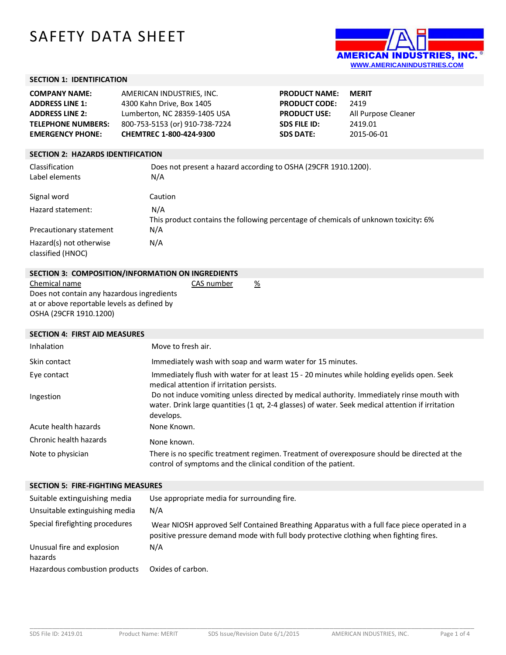# SAFETY DATA SHEET



**All Purpose Cleaner** 

**SDS FILE ID:** 2419.01 **SDS DATE:** 2015-06-01

## **SECTION 1: IDENTIFICATION**

| <b>COMPANY NAME:</b>      | AMERICAN INDUSTRIES. INC.      | <b>PRODUCT NAME:</b> | <b>MERIT</b> |
|---------------------------|--------------------------------|----------------------|--------------|
| <b>ADDRESS LINE 1:</b>    | 4300 Kahn Drive, Box 1405      | <b>PRODUCT CODE:</b> | 2419         |
| <b>ADDRESS LINE 2:</b>    | Lumberton, NC 28359-1405 USA   | <b>PRODUCT USE:</b>  | All Puri     |
| <b>TELEPHONE NUMBERS:</b> | 800-753-5153 (or) 910-738-7224 | <b>SDS FILE ID:</b>  | 2419.0       |
| <b>EMERGENCY PHONE:</b>   | CHEMTREC 1-800-424-9300        | <b>SDS DATE:</b>     | 2015-0       |

#### **SECTION 2: HAZARDS IDENTIFICATION**

| Classification<br>Label elements             | Does not present a hazard according to OSHA (29CFR 1910.1200).<br>N/A                      |
|----------------------------------------------|--------------------------------------------------------------------------------------------|
| Signal word                                  | Caution                                                                                    |
| Hazard statement:                            | N/A<br>This product contains the following percentage of chemicals of unknown toxicity: 6% |
| Precautionary statement                      | N/A                                                                                        |
| Hazard(s) not otherwise<br>classified (HNOC) | N/A                                                                                        |

| SECTION 3: COMPOSITION/INFORMATION ON INGREDIENTS |            |   |
|---------------------------------------------------|------------|---|
| Chemical name                                     | CAS number | % |

Does not contain any hazardous ingredients at or above reportable levels as defined by OSHA (29CFR 1910.1200)

| <b>SECTION 4: FIRST AID MEASURES</b>     |                                                                                                                                                                                                            |
|------------------------------------------|------------------------------------------------------------------------------------------------------------------------------------------------------------------------------------------------------------|
| <b>Inhalation</b>                        | Move to fresh air.                                                                                                                                                                                         |
| Skin contact                             | Immediately wash with soap and warm water for 15 minutes.                                                                                                                                                  |
| Eye contact                              | Immediately flush with water for at least 15 - 20 minutes while holding eyelids open. Seek<br>medical attention if irritation persists.                                                                    |
| Ingestion                                | Do not induce vomiting unless directed by medical authority. Immediately rinse mouth with<br>water. Drink large quantities (1 qt, 2-4 glasses) of water. Seek medical attention if irritation<br>develops. |
| Acute health hazards                     | None Known.                                                                                                                                                                                                |
| Chronic health hazards                   | None known.                                                                                                                                                                                                |
| Note to physician                        | There is no specific treatment regimen. Treatment of overexposure should be directed at the<br>control of symptoms and the clinical condition of the patient.                                              |
| <b>SECTION 5: FIRE-FIGHTING MEASURES</b> |                                                                                                                                                                                                            |
|                                          |                                                                                                                                                                                                            |

| Suitable extinguishing media          | Use appropriate media for surrounding fire.                                                                                                                                          |
|---------------------------------------|--------------------------------------------------------------------------------------------------------------------------------------------------------------------------------------|
| Unsuitable extinguishing media        | N/A                                                                                                                                                                                  |
| Special firefighting procedures       | Wear NIOSH approved Self Contained Breathing Apparatus with a full face piece operated in a<br>positive pressure demand mode with full body protective clothing when fighting fires. |
| Unusual fire and explosion<br>hazards | N/A                                                                                                                                                                                  |
| Hazardous combustion products         | Oxides of carbon.                                                                                                                                                                    |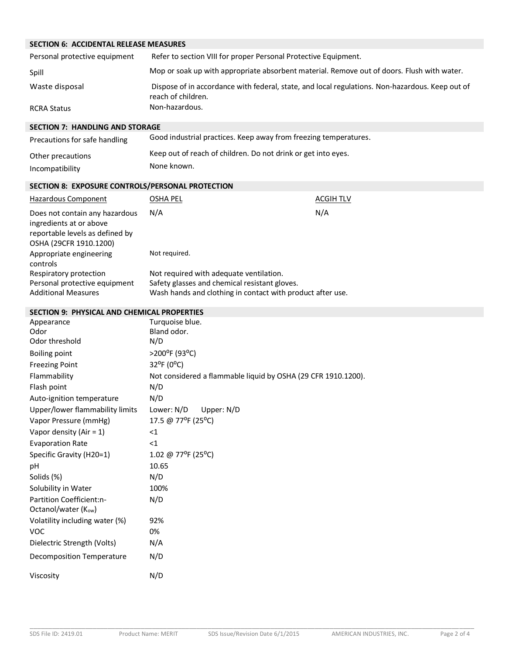|  | <b>SECTION 6: ACCIDENTAL RELEASE MEASURES</b> |
|--|-----------------------------------------------|
|  |                                               |

| Personal protective equipment | Refer to section VIII for proper Personal Protective Equipment.                                                       |
|-------------------------------|-----------------------------------------------------------------------------------------------------------------------|
| Spill                         | Mop or soak up with appropriate absorbent material. Remove out of doors. Flush with water.                            |
| Waste disposal                | Dispose of in accordance with federal, state, and local regulations. Non-hazardous. Keep out of<br>reach of children. |
| <b>RCRA Status</b>            | Non-hazardous.                                                                                                        |

#### **SECTION 7: HANDLING AND STORAGE**

| Precautions for safe handling | Good industrial practices. Keep away from freezing temperatures. |
|-------------------------------|------------------------------------------------------------------|
| Other precautions             | Keep out of reach of children. Do not drink or get into eyes.    |
| Incompatibility               | None known.                                                      |

## **SECTION 8: EXPOSURE CONTROLS/PERSONAL PROTECTION**

| Hazardous Component                                                                                                    | OSHA PEL                                                   | <b>ACGIH TLV</b> |
|------------------------------------------------------------------------------------------------------------------------|------------------------------------------------------------|------------------|
| Does not contain any hazardous<br>ingredients at or above<br>reportable levels as defined by<br>OSHA (29CFR 1910.1200) | N/A                                                        | N/A              |
| Appropriate engineering<br>controls                                                                                    | Not required.                                              |                  |
| Respiratory protection                                                                                                 | Not required with adequate ventilation.                    |                  |
| Personal protective equipment                                                                                          | Safety glasses and chemical resistant gloves.              |                  |
| <b>Additional Measures</b>                                                                                             | Wash hands and clothing in contact with product after use. |                  |

#### **SECTION 9: PHYSICAL AND CHEMICAL PROPERTIES**

| Appearance<br>Odor<br>Odor threshold                         | Turquoise blue.<br>Bland odor.<br>N/D                         |
|--------------------------------------------------------------|---------------------------------------------------------------|
| <b>Boiling point</b>                                         | >200°F (93°C)                                                 |
| <b>Freezing Point</b>                                        | 32°F (0°C)                                                    |
| Flammability                                                 | Not considered a flammable liquid by OSHA (29 CFR 1910.1200). |
| Flash point                                                  | N/D                                                           |
| Auto-ignition temperature                                    | N/D                                                           |
| Upper/lower flammability limits                              | Lower: N/D<br>Upper: N/D                                      |
| Vapor Pressure (mmHg)                                        | 17.5 @ 77°F (25°C)                                            |
| Vapor density (Air = $1$ )                                   | $<$ 1                                                         |
| <b>Evaporation Rate</b>                                      | $<$ 1                                                         |
| Specific Gravity (H20=1)                                     | 1.02 @ 77°F (25°C)                                            |
| рH                                                           | 10.65                                                         |
| Solids (%)                                                   | N/D                                                           |
| Solubility in Water                                          | 100%                                                          |
| Partition Coefficient:n-<br>Octanol/water (K <sub>ow</sub> ) | N/D                                                           |
| Volatility including water (%)                               | 92%                                                           |
| <b>VOC</b>                                                   | 0%                                                            |
| Dielectric Strength (Volts)                                  | N/A                                                           |
| <b>Decomposition Temperature</b>                             | N/D                                                           |
| Viscosity                                                    | N/D                                                           |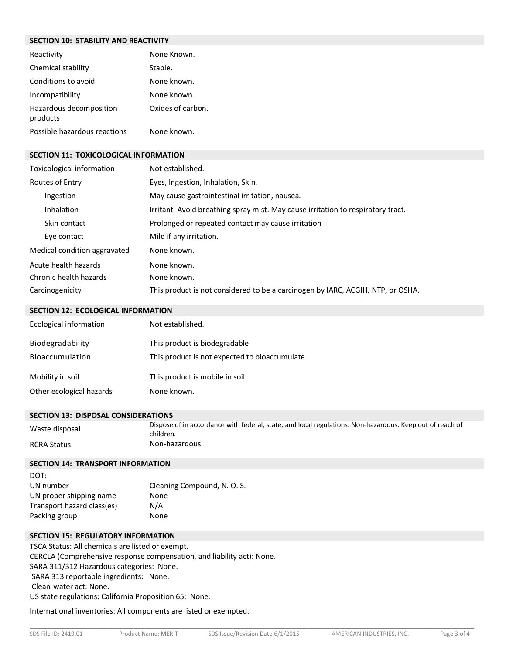#### **SECTION 10: STABILITY AND REACTIVITY**

| Reactivity                          | None Known.       |
|-------------------------------------|-------------------|
| Chemical stability                  | Stable.           |
| Conditions to avoid                 | None known.       |
| Incompatibility                     | None known.       |
| Hazardous decomposition<br>products | Oxides of carbon. |
| Possible hazardous reactions        | None known.       |

#### **SECTION 11: TOXICOLOGICAL INFORMATION**

| Toxicological information    | Not established.                                                                 |
|------------------------------|----------------------------------------------------------------------------------|
| Routes of Entry              | Eyes, Ingestion, Inhalation, Skin.                                               |
| Ingestion                    | May cause gastrointestinal irritation, nausea.                                   |
| <b>Inhalation</b>            | Irritant. Avoid breathing spray mist. May cause irritation to respiratory tract. |
| Skin contact                 | Prolonged or repeated contact may cause irritation                               |
| Eye contact                  | Mild if any irritation.                                                          |
| Medical condition aggravated | None known.                                                                      |
| Acute health hazards         | None known.                                                                      |
| Chronic health hazards       | None known.                                                                      |
| Carcinogenicity              | This product is not considered to be a carcinogen by IARC, ACGIH, NTP, or OSHA.  |

| Ecological information   | Not established.                               |
|--------------------------|------------------------------------------------|
| Biodegradability         | This product is biodegradable.                 |
| Bioaccumulation          | This product is not expected to bioaccumulate. |
| Mobility in soil         | This product is mobile in soil.                |
| Other ecological hazards | None known.                                    |

#### **SECTION 13: DISPOSAL CONSIDERATIONS**

| Waste disposal     | Dispose of in accordance with federal, state, and local regulations. Non-hazardous. Keep out of reach of<br>children. |
|--------------------|-----------------------------------------------------------------------------------------------------------------------|
| <b>RCRA Status</b> | Non-hazardous.                                                                                                        |

#### **SECTION 14: TRANSPORT INFORMATION**

| DOT:                       |                             |
|----------------------------|-----------------------------|
| UN number                  | Cleaning Compound, N. O. S. |
| UN proper shipping name    | None                        |
| Transport hazard class(es) | N/A                         |
| Packing group              | None                        |

## **SECTION 15: REGULATORY INFORMATION**

TSCA Status: All chemicals are listed or exempt. CERCLA (Comprehensive response compensation, and liability act): None. SARA 311/312 Hazardous categories: None. SARA 313 reportable ingredients: None. Clean water act: None. US state regulations: California Proposition 65: None.

International inventories: All components are listed or exempted.